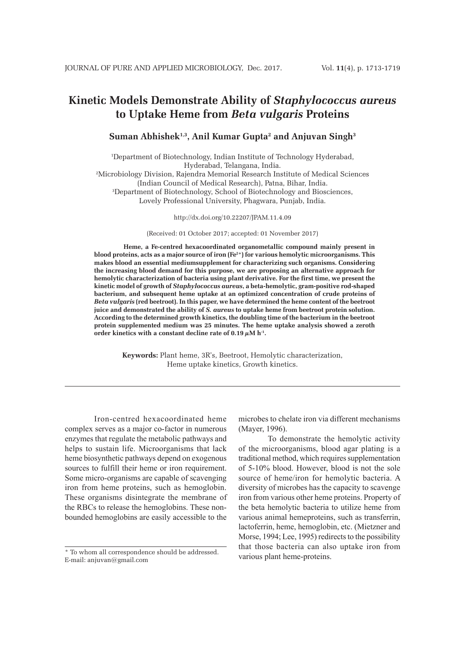# **Kinetic Models Demonstrate Ability of** *Staphylococcus aureus* **to Uptake Heme from** *Beta vulgaris* **Proteins**

# **Suman Abhishek1,3, Anil Kumar Gupta2 and Anjuvan Singh3**

1 Department of Biotechnology, Indian Institute of Technology Hyderabad, Hyderabad, Telangana, India. 2 Microbiology Division, Rajendra Memorial Research Institute of Medical Sciences (Indian Council of Medical Research), Patna, Bihar, India. 3 Department of Biotechnology, School of Biotechnology and Biosciences, Lovely Professional University, Phagwara, Punjab, India.

http://dx.doi.org/10.22207/JPAM.11.4.09

(Received: 01 October 2017; accepted: 01 November 2017)

**Heme, a Fe-centred hexacoordinated organometallic compound mainly present in blood proteins, acts as a major source of iron (Fe2+) for various hemolytic microorganisms. This makes blood an essential mediumsupplement for characterizing such organisms. Considering the increasing blood demand for this purpose, we are proposing an alternative approach for hemolytic characterization of bacteria using plant derivative. For the first time, we present the kinetic model of growth of** *Staphylococcus aureus***, a beta-hemolytic, gram-positive rod-shaped bacterium, and subsequent heme uptake at an optimized concentration of crude proteins of**  *Beta vulgaris* **(red beetroot). In this paper, we have determined the heme content of the beetroot juice and demonstrated the ability of** *S. aureus* **to uptake heme from beetroot protein solution. According to the determined growth kinetics, the doubling time of the bacterium in the beetroot protein supplemented medium was 25 minutes. The heme uptake analysis showed a zeroth order kinetics with a constant decline rate of 0.19**  $\mu$ **M h<sup>-1</sup>.** 

> **Keywords:** Plant heme, 3R's, Beetroot, Hemolytic characterization, Heme uptake kinetics, Growth kinetics.

Iron-centred hexacoordinated heme complex serves as a major co-factor in numerous enzymes that regulate the metabolic pathways and helps to sustain life. Microorganisms that lack heme biosynthetic pathways depend on exogenous sources to fulfill their heme or iron requirement. Some micro-organisms are capable of scavenging iron from heme proteins, such as hemoglobin. These organisms disintegrate the membrane of the RBCs to release the hemoglobins. These nonbounded hemoglobins are easily accessible to the

microbes to chelate iron via different mechanisms (Mayer, 1996).

To demonstrate the hemolytic activity of the microorganisms, blood agar plating is a traditional method, which requires supplementation of 5-10% blood. However, blood is not the sole source of heme/iron for hemolytic bacteria. A diversity of microbes has the capacity to scavenge iron from various other heme proteins. Property of the beta hemolytic bacteria to utilize heme from various animal hemeproteins, such as transferrin, lactoferrin, heme, hemoglobin, etc. (Mietzner and Morse, 1994; Lee, 1995) redirects to the possibility that those bacteria can also uptake iron from various plant heme-proteins.

<sup>\*</sup> To whom all correspondence should be addressed. E-mail: anjuvan@gmail.com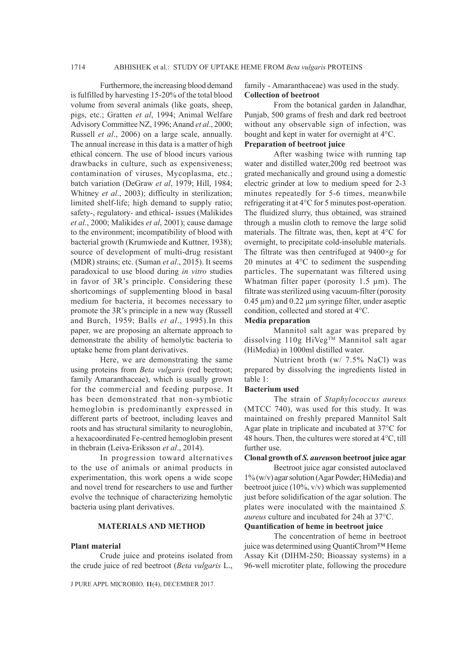Furthermore, the increasing blood demand is fulfilled by harvesting 15-20% of the total blood volume from several animals (like goats, sheep, pigs, etc.; Gratten *et al*, 1994; Animal Welfare Advisory Committee NZ, 1996; Anand *et al*., 2000; Russell *et al*., 2006) on a large scale, annually. The annual increase in this data is a matter of high ethical concern. The use of blood incurs various drawbacks in culture, such as expensiveness; contamination of viruses, Mycoplasma, etc.; batch variation (DeGraw *et al*, 1979; Hill, 1984; Whitney *et al*., 2003); difficulty in sterilization; limited shelf-life; high demand to supply ratio; safety-, regulatory- and ethical- issues (Malikides *et al*., 2000; Malikides *et al*, 2001); cause damage to the environment; incompatibility of blood with bacterial growth (Krumwiede and Kuttner, 1938); source of development of multi-drug resistant (MDR) strains; etc. (Suman *et al*., 2015). It seems paradoxical to use blood during *in vitro* studies in favor of 3R's principle. Considering these shortcomings of supplementing blood in basal medium for bacteria, it becomes necessary to promote the 3R's principle in a new way (Russell and Burch, 1959; Balls *et al*., 1995).In this paper, we are proposing an alternate approach to demonstrate the ability of hemolytic bacteria to uptake heme from plant derivatives.

Here, we are demonstrating the same using proteins from *Beta vulgaris* (red beetroot; family Amaranthaceae), which is usually grown for the commercial and feeding purpose. It has been demonstrated that non-symbiotic hemoglobin is predominantly expressed in different parts of beetroot, including leaves and roots and has structural similarity to neuroglobin, a hexacoordinated Fe-centred hemoglobin present in thebrain (Leiva-Eriksson *et al*., 2014).

In progression toward alternatives to the use of animals or animal products in experimentation, this work opens a wide scope and novel trend for researchers to use and further evolve the technique of characterizing hemolytic bacteria using plant derivatives.

# **MATERIALS AND METHOD**

#### **Plant material**

Crude juice and proteins isolated from the crude juice of red beetroot (*Beta vulgaris* L.,

J PURE APPL MICROBIO*,* **11**(4), DECEMBER 2017.

family - Amaranthaceae) was used in the study. **Collection of beetroot**

From the botanical garden in Jalandhar, Punjab, 500 grams of fresh and dark red beetroot without any observable sign of infection, was bought and kept in water for overnight at 4°C.

# **Preparation of beetroot juice**

After washing twice with running tap water and distilled water,200g red beetroot was grated mechanically and ground using a domestic electric grinder at low to medium speed for 2-3 minutes repeatedly for 5-6 times, meanwhile refrigerating it at 4°C for 5 minutes post-operation. The fluidized slurry, thus obtained, was strained through a muslin cloth to remove the large solid materials. The filtrate was, then, kept at 4°C for overnight, to precipitate cold-insoluble materials. The filtrate was then centrifuged at 9400×*g* for 20 minutes at 4°C to sediment the suspending particles. The supernatant was filtered using Whatman filter paper (porosity 1.5 µm). The filtrate was sterilized using vacuum-filter (porosity  $0.45 \mu m$ ) and  $0.22 \mu m$  syringe filter, under aseptic condition, collected and stored at 4°C.

#### **Media preparation**

Mannitol salt agar was prepared by dissolving 110g HiVeg™ Mannitol salt agar (HiMedia) in 1000ml distilled water.

Nutrient broth (w/ 7.5% NaCl) was prepared by dissolving the ingredients listed in table 1:

# **Bacterium used**

The strain of *Staphylococcus aureus*  (MTCC 740), was used for this study. It was maintained on freshly prepared Mannitol Salt Agar plate in triplicate and incubated at 37°C for 48 hours. Then, the cultures were stored at 4°C, till further use.

# **Clonal growth of** *S. aureus***on beetroot juice agar**

Beetroot juice agar consisted autoclaved 1% (w/v) agar solution (Agar Powder; HiMedia) and beetroot juice  $(10\%, v/v)$  which was supplemented just before solidification of the agar solution. The plates were inoculated with the maintained *S. aureus* culture and incubated for 24h at 37°C.

# **Quantification of heme in beetroot juice**

The concentration of heme in beetroot juice was determined using QuantiChrom™ Heme Assay Kit (DIHM-250; Bioassay systems) in a 96-well microtiter plate, following the procedure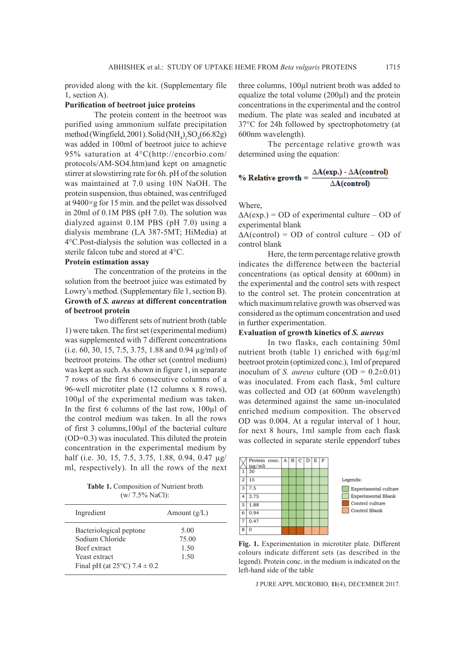provided along with the kit. (Supplementary file 1, section A).

#### **Purification of beetroot juice proteins**

The protein content in the beetroot was purified using ammonium sulfate precipitation method (Wingfield, 2001). Solid (NH<sub>4</sub>)<sub>2</sub>SO<sub>4</sub>(66.82g) was added in 100ml of beetroot juice to achieve 95% saturation at 4°C(http://encorbio.com/ protocols/AM-SO4.htm)and kept on amagnetic stirrer at slowstirring rate for 6h. pH of the solution was maintained at 7.0 using 10N NaOH. The protein suspension, thus obtained, was centrifuged at 9400×g for 15 min. and the pellet was dissolved in 20ml of 0.1M PBS (pH 7.0). The solution was dialyzed against 0.1M PBS (pH 7.0) using a dialysis membrane (LA 387-5MT; HiMedia) at 4°C.Post-dialysis the solution was collected in a sterile falcon tube and stored at 4°C.

## **Protein estimation assay**

The concentration of the proteins in the solution from the beetroot juice was estimated by Lowry's method. (Supplementary file 1, section B). **Growth of** *S. aureus* **at different concentration of beetroot protein**

Two different sets of nutrient broth (table 1) were taken. The first set (experimental medium) was supplemented with 7 different concentrations (i.e. 60, 30, 15, 7.5, 3.75, 1.88 and 0.94 µg/ml) of beetroot proteins. The other set (control medium) was kept as such. As shown in figure 1, in separate 7 rows of the first 6 consecutive columns of a 96-well microtiter plate (12 columns x 8 rows), 100µl of the experimental medium was taken. In the first 6 columns of the last row, 100µl of the control medium was taken. In all the rows of first 3 columns,100µl of the bacterial culture (OD=0.3) was inoculated. This diluted the protein concentration in the experimental medium by half (i.e. 30, 15, 7.5, 3.75, 1.88, 0.94, 0.47 µg/ ml, respectively). In all the rows of the next

**Table 1.** Composition of Nutrient broth (w/ 7.5% NaCl):

| Ingredient                                 | Amount $(g/L)$ |
|--------------------------------------------|----------------|
| Bacteriological peptone                    | 5.00           |
| Sodium Chloride                            | 75.00          |
| Beef extract                               | 1.50           |
| Yeast extract                              | 1.50           |
| Final pH (at $25^{\circ}$ C) 7.4 $\pm$ 0.2 |                |

three columns, 100µl nutrient broth was added to equalize the total volume  $(200\mu l)$  and the protein concentrations in the experimental and the control medium. The plate was sealed and incubated at 37°C for 24h followed by spectrophotometry (at 600nm wavelength).

The percentage relative growth was determined using the equation:

% Relative growth = 
$$
\frac{\Delta A(exp.) - \Delta A(control)}{\Delta A(control)}
$$

Where,

 $\Delta A(exp.) = OD$  of experimental culture – OD of experimental blank

 $\Delta A$ (control) = OD of control culture – OD of control blank

Here, the term percentage relative growth indicates the difference between the bacterial concentrations (as optical density at 600nm) in the experimental and the control sets with respect to the control set. The protein concentration at which maximum relative growth was observed was considered as the optimum concentration and used in further experimentation.

# **Evaluation of growth kinetics of** *S. aureus*

In two flasks, each containing 50ml nutrient broth (table 1) enriched with 6µg/ml beetroot protein (optimized conc.), 1ml of prepared inoculum of *S. aureus* culture  $(OD = 0.2 \pm 0.01)$ was inoculated. From each flask, 5ml culture was collected and OD (at 600nm wavelength) was determined against the same un-inoculated enriched medium composition. The observed OD was 0.004. At a regular interval of 1 hour, for next 8 hours, 1ml sample from each flask was collected in separate sterile eppendorf tubes



**Fig. 1.** Experimentation in microtiter plate. Different colours indicate different sets (as described in the legend). Protein conc. in the medium is indicated on the left-hand side of the table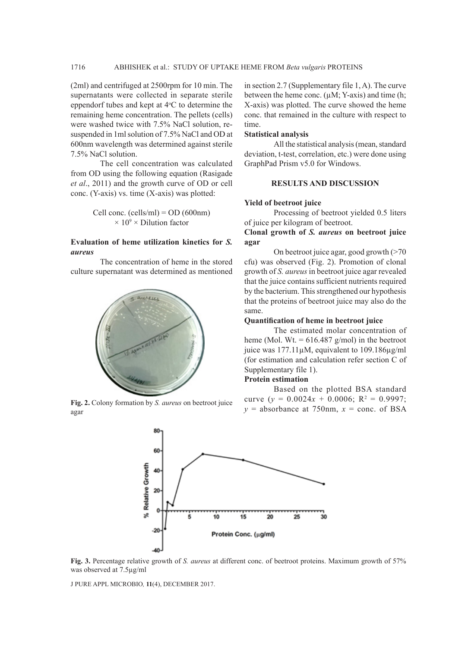(2ml) and centrifuged at 2500rpm for 10 min. The supernatants were collected in separate sterile eppendorf tubes and kept at  $4^{\circ}$ C to determine the remaining heme concentration. The pellets (cells) were washed twice with 7.5% NaCl solution, resuspended in 1ml solution of 7.5% NaCl and OD at 600nm wavelength was determined against sterile 7.5% NaCl solution.

The cell concentration was calculated from OD using the following equation (Rasigade *et al*., 2011) and the growth curve of OD or cell conc. (Y-axis) vs. time (X-axis) was plotted:

> Cell conc. (cells/ml) =  $OD (600nm)$  $\times$  10<sup>9</sup>  $\times$  Dilution factor

# **Evaluation of heme utilization kinetics for** *S. aureus*

The concentration of heme in the stored culture supernatant was determined as mentioned



agar

in section 2.7 (Supplementary file 1, A). The curve between the heme conc.  $(\mu M; Y\text{-axis})$  and time (h; X-axis) was plotted. The curve showed the heme conc. that remained in the culture with respect to time.

## **Statistical analysis**

All the statistical analysis (mean, standard deviation, t-test, correlation, etc.) were done using GraphPad Prism v5.0 for Windows.

### **RESULTS AND DISCUSSION**

#### **Yield of beetroot juice**

Processing of beetroot yielded 0.5 liters of juice per kilogram of beetroot.

#### **Clonal growth of** *S. aureus* **on beetroot juice agar**

On beetroot juice agar, good growth (>70 cfu) was observed (Fig. 2). Promotion of clonal growth of *S. aureus* in beetroot juice agar revealed that the juice contains sufficient nutrients required by the bacterium. This strengthened our hypothesis that the proteins of beetroot juice may also do the same.

#### **Quantification of heme in beetroot juice**

The estimated molar concentration of heme (Mol. Wt.  $= 616.487$  g/mol) in the beetroot juice was 177.11µM, equivalent to 109.186µg/ml (for estimation and calculation refer section C of Supplementary file 1).

#### **Protein estimation**

Based on the plotted BSA standard curve ( $y = 0.0024x + 0.0006$ ; R<sup>2</sup> = 0.9997; **Fig. 2.** Colony formation by *S. aureus* on beetroot juice  $y = 0.0024x + 0.0000$ ,  $K = 0.9997$ , <br> $y =$  absorbance at 750nm,  $x =$  conc. of BSA



**Fig. 3.** Percentage relative growth of *S. aureus* at different conc. of beetroot proteins. Maximum growth of 57% was observed at 7.5µg/ml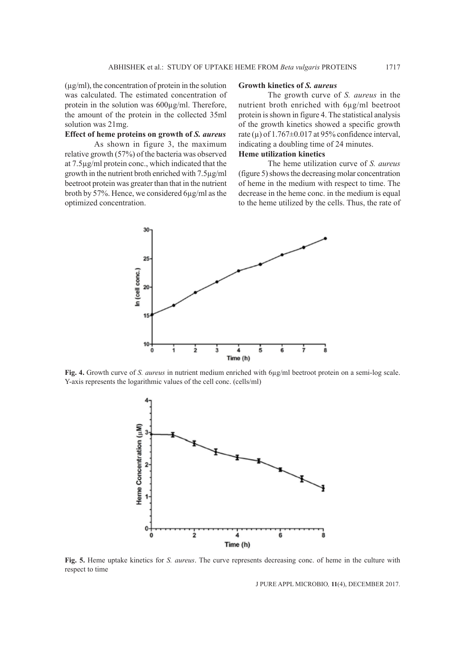$(\mu g/ml)$ , the concentration of protein in the solution was calculated. The estimated concentration of protein in the solution was 600µg/ml. Therefore, the amount of the protein in the collected 35ml solution was 21mg.

#### **Effect of heme proteins on growth of** *S. aureus*

As shown in figure 3, the maximum relative growth (57%) of the bacteria was observed at 7.5µg/ml protein conc., which indicated that the growth in the nutrient broth enriched with 7.5µg/ml beetroot protein was greater than that in the nutrient broth by 57%. Hence, we considered 6µg/ml as the optimized concentration.

## **Growth kinetics of** *S. aureus*

The growth curve of *S. aureus* in the nutrient broth enriched with 6µg/ml beetroot protein is shown in figure 4. The statistical analysis of the growth kinetics showed a specific growth rate ( $\mu$ ) of 1.767 $\pm$ 0.017 at 95% confidence interval, indicating a doubling time of 24 minutes.

# **Heme utilization kinetics**

The heme utilization curve of *S. aureus*  (figure 5) shows the decreasing molar concentration of heme in the medium with respect to time. The decrease in the heme conc. in the medium is equal to the heme utilized by the cells. Thus, the rate of



**Fig. 4.** Growth curve of *S. aureus* in nutrient medium enriched with 6µg/ml beetroot protein on a semi-log scale. Y-axis represents the logarithmic values of the cell conc. (cells/ml)



**Fig. 5.** Heme uptake kinetics for *S. aureus*. The curve represents decreasing conc. of heme in the culture with respect to time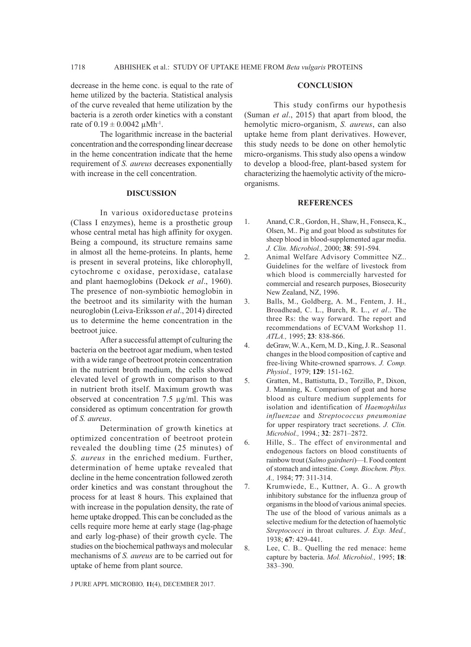decrease in the heme conc. is equal to the rate of heme utilized by the bacteria. Statistical analysis of the curve revealed that heme utilization by the bacteria is a zeroth order kinetics with a constant rate of  $0.19 \pm 0.0042 \mu Mh^{-1}$ .

The logarithmic increase in the bacterial concentration and the corresponding linear decrease in the heme concentration indicate that the heme requirement of *S. aureus* decreases exponentially with increase in the cell concentration.

#### **DISCUSSION**

In various oxidoreductase proteins (Class I enzymes), heme is a prosthetic group whose central metal has high affinity for oxygen. Being a compound, its structure remains same in almost all the heme-proteins. In plants, heme is present in several proteins, like chlorophyll, cytochrome c oxidase, peroxidase, catalase and plant haemoglobins (Dekock *et al*., 1960). The presence of non-symbiotic hemoglobin in the beetroot and its similarity with the human neuroglobin (Leiva-Eriksson *et al*., 2014) directed us to determine the heme concentration in the beetroot juice.

After a successful attempt of culturing the bacteria on the beetroot agar medium, when tested with a wide range of beetroot protein concentration in the nutrient broth medium, the cells showed elevated level of growth in comparison to that in nutrient broth itself. Maximum growth was observed at concentration 7.5 µg/ml. This was considered as optimum concentration for growth of *S. aureus*.

Determination of growth kinetics at optimized concentration of beetroot protein revealed the doubling time (25 minutes) of *S. aureus* in the enriched medium. Further, determination of heme uptake revealed that decline in the heme concentration followed zeroth order kinetics and was constant throughout the process for at least 8 hours. This explained that with increase in the population density, the rate of heme uptake dropped. This can be concluded as the cells require more heme at early stage (lag-phage and early log-phase) of their growth cycle. The studies on the biochemical pathways and molecular mechanisms of *S. aureus* are to be carried out for uptake of heme from plant source.

#### **CONCLUSION**

This study confirms our hypothesis (Suman *et al*., 2015) that apart from blood, the hemolytic micro-organism, *S. aureus*, can also uptake heme from plant derivatives. However, this study needs to be done on other hemolytic micro-organisms. This study also opens a window to develop a blood-free, plant-based system for characterizing the haemolytic activity of the microorganisms.

### **REFERENCES**

- 1. Anand, C.R., Gordon, H., Shaw, H., Fonseca, K., Olsen, M.. Pig and goat blood as substitutes for sheep blood in blood-supplemented agar media. *J. Clin. Microbiol.,* 2000; **38**: 591-594.
- 2. Animal Welfare Advisory Committee NZ.. Guidelines for the welfare of livestock from which blood is commercially harvested for commercial and research purposes, Biosecurity New Zealand, NZ, 1996.
- 3. Balls, M., Goldberg, A. M., Fentem, J. H., Broadhead, C. L., Burch, R. L., *et al*.. The three Rs: the way forward. The report and recommendations of ECVAM Workshop 11. *ATLA.,* 1995; **23**: 838-866.
- 4. deGraw, W. A., Kern, M. D., King, J. R.. Seasonal changes in the blood composition of captive and free-living White-crowned sparrows. *J. Comp. Physiol.,* 1979; **129**: 151-162.
- 5. Gratten, M., Battistutta, D., Torzillo, P., Dixon, J. Manning, K. Comparison of goat and horse blood as culture medium supplements for isolation and identification of *Haemophilus influenzae* and *Streptococcus pneumoniae* for upper respiratory tract secretions. *J. Clin. Microbiol.,* 1994.; **32**: 2871–2872.
- 6. Hille, S.. The effect of environmental and endogenous factors on blood constituents of rainbow trout (*Salmo gairdneri*)—I. Food content of stomach and intestine. *Comp. Biochem. Phys. A.,* 1984; **77**: 311-314.
- 7. Krumwiede, E., Kuttner, A. G.. A growth inhibitory substance for the influenza group of organisms in the blood of various animal species. The use of the blood of various animals as a selective medium for the detection of haemolytic *Streptococci* in throat cultures. *J. Exp. Med.,*  1938; **67**: 429-441.
- 8. Lee, C. B.. Quelling the red menace: heme capture by bacteria. *Mol. Microbiol.,* 1995; **18**: 383–390.